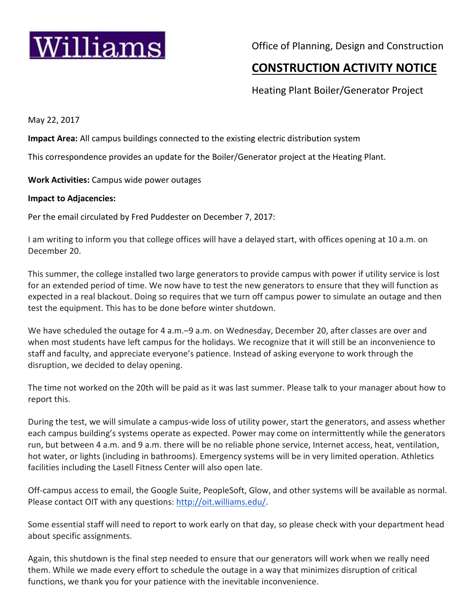

Office of Planning, Design and Construction

## **CONSTRUCTION ACTIVITY NOTICE**

Heating Plant Boiler/Generator Project

May 22, 2017

**Impact Area:** All campus buildings connected to the existing electric distribution system

This correspondence provides an update for the Boiler/Generator project at the Heating Plant.

**Work Activities:** Campus wide power outages

## **Impact to Adjacencies:**

Per the email circulated by Fred Puddester on December 7, 2017:

I am writing to inform you that college offices will have a delayed start, with offices opening at 10 a.m. on December 20.

This summer, the college installed two large generators to provide campus with power if utility service is lost for an extended period of time. We now have to test the new generators to ensure that they will function as expected in a real blackout. Doing so requires that we turn off campus power to simulate an outage and then test the equipment. This has to be done before winter shutdown.

We have scheduled the outage for 4 a.m.–9 a.m. on Wednesday, December 20, after classes are over and when most students have left campus for the holidays. We recognize that it will still be an inconvenience to staff and faculty, and appreciate everyone's patience. Instead of asking everyone to work through the disruption, we decided to delay opening.

The time not worked on the 20th will be paid as it was last summer. Please talk to your manager about how to report this.

During the test, we will simulate a campus-wide loss of utility power, start the generators, and assess whether each campus building's systems operate as expected. Power may come on intermittently while the generators run, but between 4 a.m. and 9 a.m. there will be no reliable phone service, Internet access, heat, ventilation, hot water, or lights (including in bathrooms). Emergency systems will be in very limited operation. Athletics facilities including the Lasell Fitness Center will also open late.

Off-campus access to email, the Google Suite, PeopleSoft, Glow, and other systems will be available as normal. Please contact OIT with any questions: [http://oit.williams.edu/.](http://oit.williams.edu/)

Some essential staff will need to report to work early on that day, so please check with your department head about specific assignments.

Again, this shutdown is the final step needed to ensure that our generators will work when we really need them. While we made every effort to schedule the outage in a way that minimizes disruption of critical functions, we thank you for your patience with the inevitable inconvenience.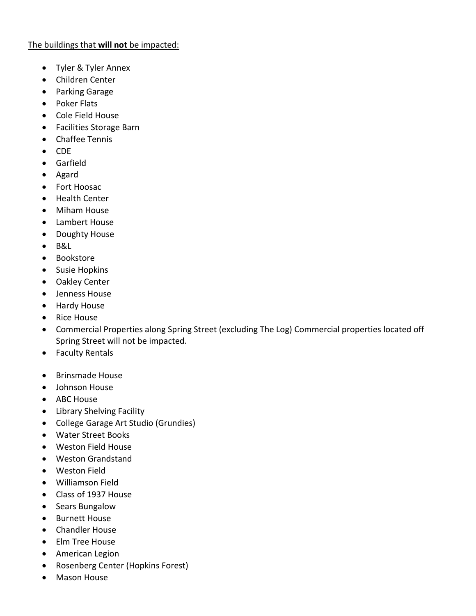## The buildings that **will not** be impacted:

- Tyler & Tyler Annex
- Children Center
- Parking Garage
- Poker Flats
- Cole Field House
- Facilities Storage Barn
- Chaffee Tennis
- CDE
- Garfield
- Agard
- Fort Hoosac
- Health Center
- Miham House
- Lambert House
- Doughty House
- B&L
- Bookstore
- Susie Hopkins
- Oakley Center
- Jenness House
- Hardy House
- Rice House
- Commercial Properties along Spring Street (excluding The Log) Commercial properties located off Spring Street will not be impacted.
- Faculty Rentals
- Brinsmade House
- Johnson House
- ABC House
- Library Shelving Facility
- College Garage Art Studio (Grundies)
- Water Street Books
- Weston Field House
- Weston Grandstand
- Weston Field
- Williamson Field
- Class of 1937 House
- Sears Bungalow
- Burnett House
- Chandler House
- Elm Tree House
- American Legion
- Rosenberg Center (Hopkins Forest)
- Mason House